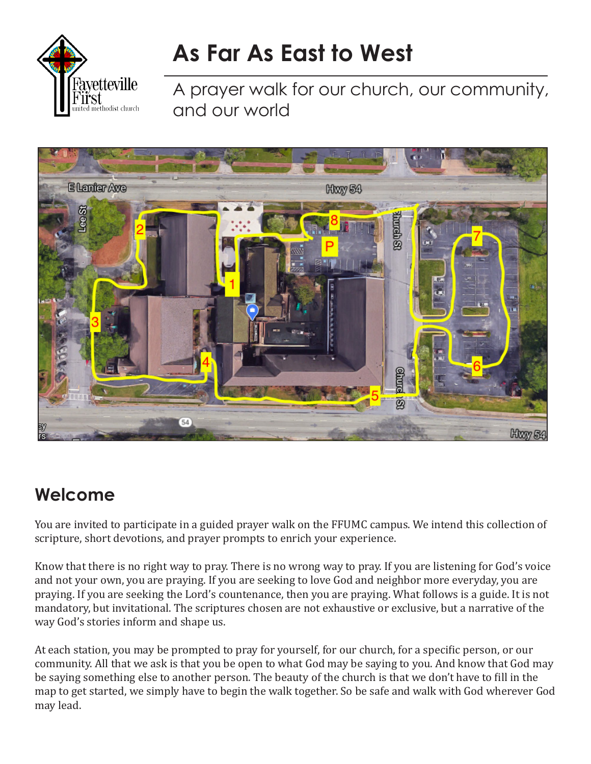

# **As Far As East to West**

A prayer walk for our church, our community, and our world



# **Welcome**

You are invited to participate in a guided prayer walk on the FFUMC campus. We intend this collection of scripture, short devotions, and prayer prompts to enrich your experience.

Know that there is no right way to pray. There is no wrong way to pray. If you are listening for God's voice and not your own, you are praying. If you are seeking to love God and neighbor more everyday, you are praying. If you are seeking the Lord's countenance, then you are praying. What follows is a guide. It is not mandatory, but invitational. The scriptures chosen are not exhaustive or exclusive, but a narrative of the way God's stories inform and shape us.

At each station, you may be prompted to pray for yourself, for our church, for a specific person, or our community. All that we ask is that you be open to what God may be saying to you. And know that God may be saying something else to another person. The beauty of the church is that we don't have to fill in the map to get started, we simply have to begin the walk together. So be safe and walk with God wherever God may lead.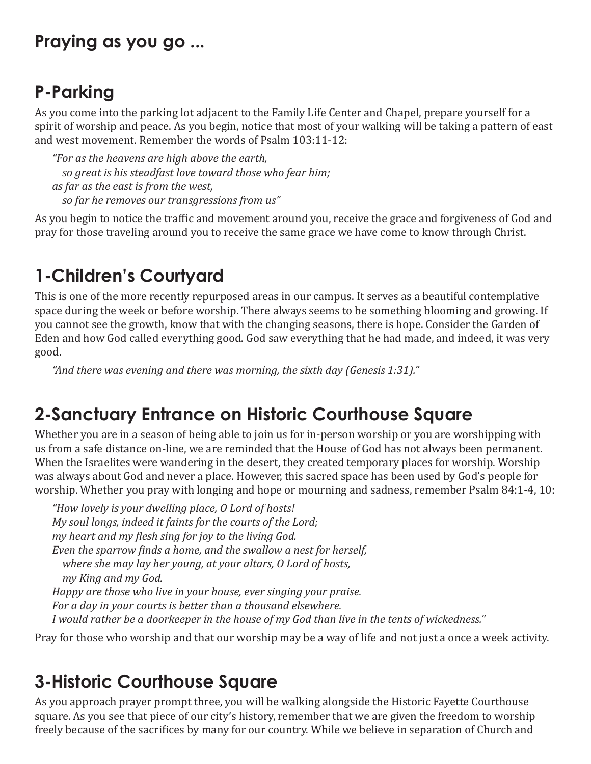#### **Praying as you go ...**

# **P-Parking**

As you come into the parking lot adjacent to the Family Life Center and Chapel, prepare yourself for a spirit of worship and peace. As you begin, notice that most of your walking will be taking a pattern of east and west movement. Remember the words of Psalm 103:11-12:

*"For as the heavens are high above the earth, so great is his steadfast love toward those who fear him; as far as the east is from the west, so far he removes our transgressions from us"*

As you begin to notice the traffic and movement around you, receive the grace and forgiveness of God and pray for those traveling around you to receive the same grace we have come to know through Christ.

# **1-Children's Courtyard**

This is one of the more recently repurposed areas in our campus. It serves as a beautiful contemplative space during the week or before worship. There always seems to be something blooming and growing. If you cannot see the growth, know that with the changing seasons, there is hope. Consider the Garden of Eden and how God called everything good. God saw everything that he had made, and indeed, it was very good.

*"And there was evening and there was morning, the sixth day (Genesis 1:31)."*

#### **2-Sanctuary Entrance on Historic Courthouse Square**

Whether you are in a season of being able to join us for in-person worship or you are worshipping with us from a safe distance on-line, we are reminded that the House of God has not always been permanent. When the Israelites were wandering in the desert, they created temporary places for worship. Worship was always about God and never a place. However, this sacred space has been used by God's people for worship. Whether you pray with longing and hope or mourning and sadness, remember Psalm 84:1-4, 10:

*"How lovely is your dwelling place, O Lord of hosts! My soul longs, indeed it faints for the courts of the Lord; my heart and my flesh sing for joy to the living God. Even the sparrow finds a home, and the swallow a nest for herself, where she may lay her young, at your altars, O Lord of hosts, my King and my God. Happy are those who live in your house, ever singing your praise. For a day in your courts is better than a thousand elsewhere. I would rather be a doorkeeper in the house of my God than live in the tents of wickedness."*

Pray for those who worship and that our worship may be a way of life and not just a once a week activity.

#### **3-Historic Courthouse Square**

As you approach prayer prompt three, you will be walking alongside the Historic Fayette Courthouse square. As you see that piece of our city's history, remember that we are given the freedom to worship freely because of the sacrifices by many for our country. While we believe in separation of Church and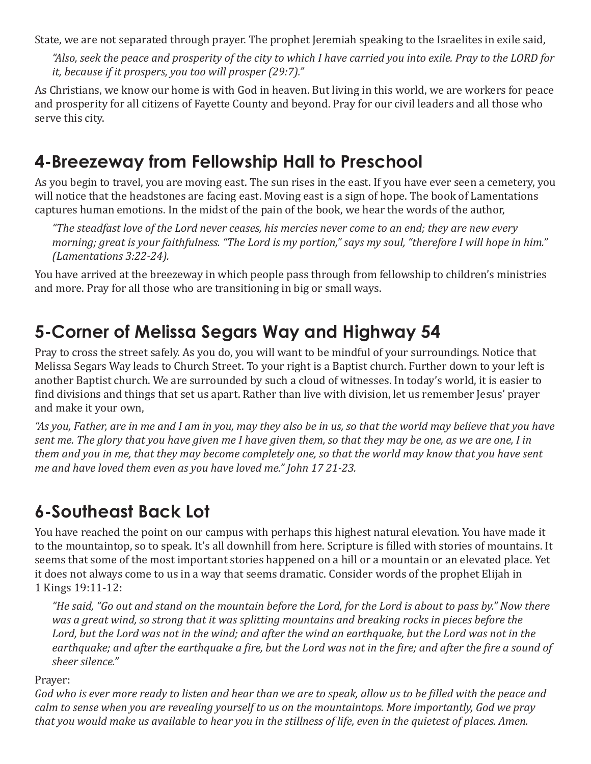State, we are not separated through prayer. The prophet Jeremiah speaking to the Israelites in exile said,

*"Also, seek the peace and prosperity of the city to which I have carried you into exile. Pray to the LORD for it, because if it prospers, you too will prosper (29:7)."* 

As Christians, we know our home is with God in heaven. But living in this world, we are workers for peace and prosperity for all citizens of Fayette County and beyond. Pray for our civil leaders and all those who serve this city.

#### **4-Breezeway from Fellowship Hall to Preschool**

As you begin to travel, you are moving east. The sun rises in the east. If you have ever seen a cemetery, you will notice that the headstones are facing east. Moving east is a sign of hope. The book of Lamentations captures human emotions. In the midst of the pain of the book, we hear the words of the author,

*"The steadfast love of the Lord never ceases, his mercies never come to an end; they are new every morning; great is your faithfulness. "The Lord is my portion," says my soul, "therefore I will hope in him." (Lamentations 3:22-24).*

You have arrived at the breezeway in which people pass through from fellowship to children's ministries and more. Pray for all those who are transitioning in big or small ways.

# **5-Corner of Melissa Segars Way and Highway 54**

Pray to cross the street safely. As you do, you will want to be mindful of your surroundings. Notice that Melissa Segars Way leads to Church Street. To your right is a Baptist church. Further down to your left is another Baptist church. We are surrounded by such a cloud of witnesses. In today's world, it is easier to find divisions and things that set us apart. Rather than live with division, let us remember Jesus' prayer and make it your own,

*"As you, Father, are in me and I am in you, may they also be in us, so that the world may believe that you have sent me. The glory that you have given me I have given them, so that they may be one, as we are one, I in them and you in me, that they may become completely one, so that the world may know that you have sent me and have loved them even as you have loved me." John 17 21-23.*

# **6-Southeast Back Lot**

You have reached the point on our campus with perhaps this highest natural elevation. You have made it to the mountaintop, so to speak. It's all downhill from here. Scripture is filled with stories of mountains. It seems that some of the most important stories happened on a hill or a mountain or an elevated place. Yet it does not always come to us in a way that seems dramatic. Consider words of the prophet Elijah in 1 Kings 19:11-12:

*"He said, "Go out and stand on the mountain before the Lord, for the Lord is about to pass by." Now there was a great wind, so strong that it was splitting mountains and breaking rocks in pieces before the*  Lord, but the Lord was not in the wind; and after the wind an earthquake, but the Lord was not in the *earthquake; and after the earthquake a fire, but the Lord was not in the fire; and after the fire a sound of sheer silence."*

#### Prayer:

*God who is ever more ready to listen and hear than we are to speak, allow us to be filled with the peace and calm to sense when you are revealing yourself to us on the mountaintops. More importantly, God we pray that you would make us available to hear you in the stillness of life, even in the quietest of places. Amen.*